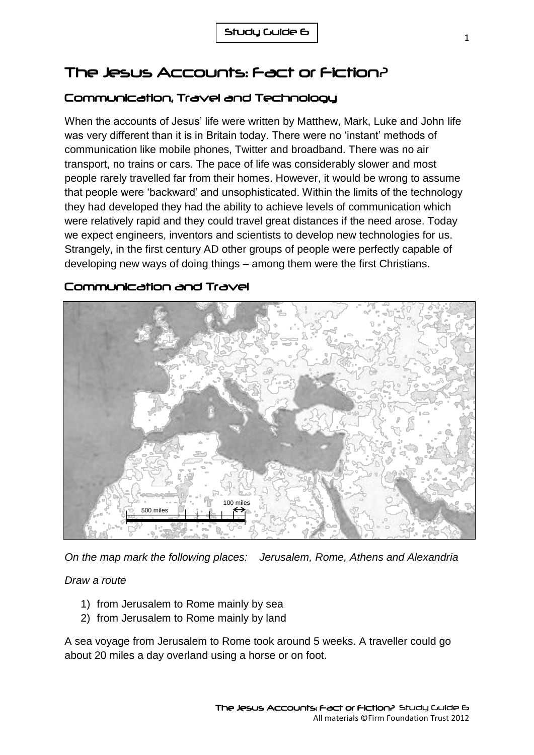# The Jesus Accounts: Fact or Fiction?

## Communication, Travel and Technology

When the accounts of Jesus' life were written by Matthew, Mark, Luke and John life was very different than it is in Britain today. There were no 'instant' methods of communication like mobile phones, Twitter and broadband. There was no air transport, no trains or cars. The pace of life was considerably slower and most people rarely travelled far from their homes. However, it would be wrong to assume that people were 'backward' and unsophisticated. Within the limits of the technology they had developed they had the ability to achieve levels of communication which were relatively rapid and they could travel great distances if the need arose. Today we expect engineers, inventors and scientists to develop new technologies for us. Strangely, in the first century AD other groups of people were perfectly capable of developing new ways of doing things – among them were the first Christians.



### Communication and Travel

*On the map mark the following places: Jerusalem, Rome, Athens and Alexandria* 

### *Draw a route*

- 1) from Jerusalem to Rome mainly by sea
- 2) from Jerusalem to Rome mainly by land

A sea voyage from Jerusalem to Rome took around 5 weeks. A traveller could go about 20 miles a day overland using a horse or on foot.